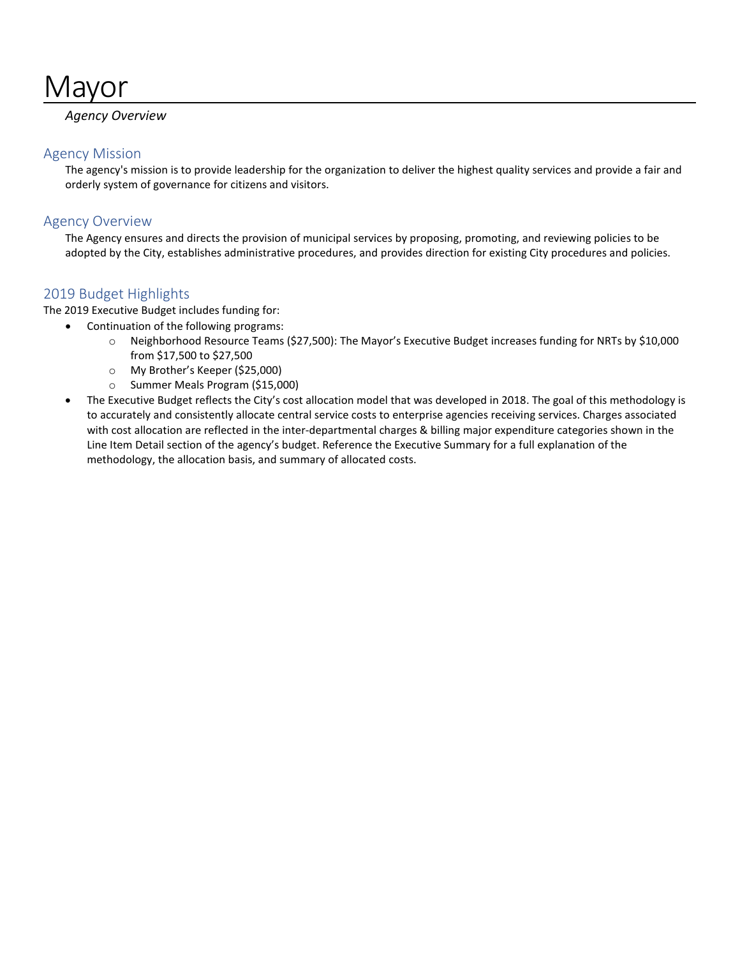# **Mayor**

# *Agency Overview*

# Agency Mission

The agency's mission is to provide leadership for the organization to deliver the highest quality services and provide a fair and orderly system of governance for citizens and visitors.

# Agency Overview

The Agency ensures and directs the provision of municipal services by proposing, promoting, and reviewing policies to be adopted by the City, establishes administrative procedures, and provides direction for existing City procedures and policies.

# 2019 Budget Highlights

The 2019 Executive Budget includes funding for:

- Continuation of the following programs:
	- o Neighborhood Resource Teams (\$27,500): The Mayor's Executive Budget increases funding for NRTs by \$10,000 from \$17,500 to \$27,500
	- o My Brother's Keeper (\$25,000)
	- o Summer Meals Program (\$15,000)
- The Executive Budget reflects the City's cost allocation model that was developed in 2018. The goal of this methodology is to accurately and consistently allocate central service costs to enterprise agencies receiving services. Charges associated with cost allocation are reflected in the inter-departmental charges & billing major expenditure categories shown in the Line Item Detail section of the agency's budget. Reference the Executive Summary for a full explanation of the methodology, the allocation basis, and summary of allocated costs.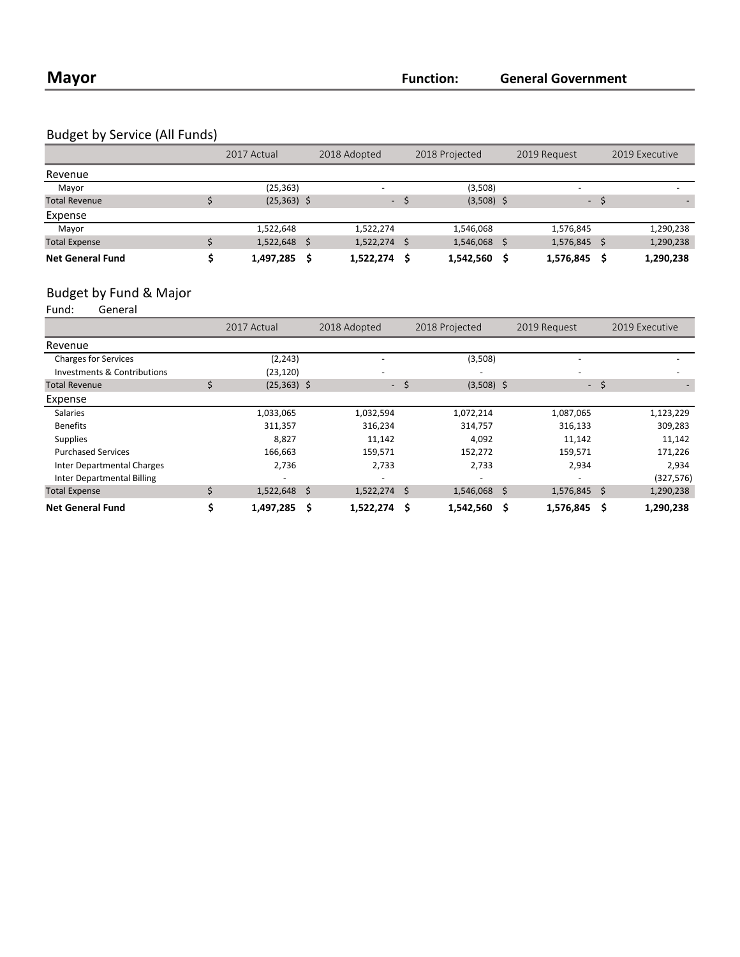# Budget by Service (All Funds)

|                         | 2017 Actual   |    | 2018 Adopted             |      | 2018 Projected | 2019 Request             |   | 2019 Executive |
|-------------------------|---------------|----|--------------------------|------|----------------|--------------------------|---|----------------|
| Revenue                 |               |    |                          |      |                |                          |   |                |
| Mayor                   | (25, 363)     |    | $\overline{\phantom{0}}$ |      | (3,508)        | $\overline{\phantom{a}}$ |   | -              |
| <b>Total Revenue</b>    | $(25,363)$ \$ |    | $\sim$                   |      | $(3,508)$ \$   | $\sim$                   |   |                |
| Expense                 |               |    |                          |      |                |                          |   |                |
| Mayor                   | 1,522,648     |    | 1,522,274                |      | 1,546,068      | 1,576,845                |   | 1,290,238      |
| <b>Total Expense</b>    | 1,522,648     | -Ŝ | 1,522,274                | - \$ | 1,546,068 \$   | 1,576,845                | Ŝ | 1,290,238      |
| <b>Net General Fund</b> | 1,497,285     | S  | 1,522,274                | - Ś  | 1,542,560      | 1,576,845                | S | 1,290,238      |

# Budget by Fund & Major<br>Fund: General

General

|                                   |   | 2017 Actual    |   | 2018 Adopted   |      | 2018 Projected |   | 2019 Request |      | 2019 Executive |
|-----------------------------------|---|----------------|---|----------------|------|----------------|---|--------------|------|----------------|
| Revenue                           |   |                |   |                |      |                |   |              |      |                |
| <b>Charges for Services</b>       |   | (2, 243)       |   |                |      | (3,508)        |   |              |      |                |
| Investments & Contributions       |   | (23, 120)      |   |                |      |                |   |              |      |                |
| <b>Total Revenue</b>              | Ś | $(25,363)$ \$  |   |                | - \$ | $(3,508)$ \$   |   |              | - \$ |                |
| Expense                           |   |                |   |                |      |                |   |              |      |                |
| <b>Salaries</b>                   |   | 1,033,065      |   | 1,032,594      |      | 1,072,214      |   | 1,087,065    |      | 1,123,229      |
| <b>Benefits</b>                   |   | 311,357        |   | 316,234        |      | 314,757        |   | 316,133      |      | 309,283        |
| <b>Supplies</b>                   |   | 8,827          |   | 11,142         |      | 4,092          |   | 11,142       |      | 11,142         |
| <b>Purchased Services</b>         |   | 166,663        |   | 159,571        |      | 152,272        |   | 159,571      |      | 171,226        |
| Inter Departmental Charges        |   | 2,736          |   | 2,733          |      | 2,733          |   | 2,934        |      | 2,934          |
| <b>Inter Departmental Billing</b> |   |                |   |                |      |                |   |              |      | (327, 576)     |
| <b>Total Expense</b>              |   | $1,522,648$ \$ |   | $1,522,274$ \$ |      | 1,546,068 \$   |   | 1,576,845 \$ |      | 1,290,238      |
| <b>Net General Fund</b>           |   | 1,497,285      | Ŝ | 1,522,274      | - \$ | 1,542,560      | Ś | 1,576,845    | Ŝ    | 1,290,238      |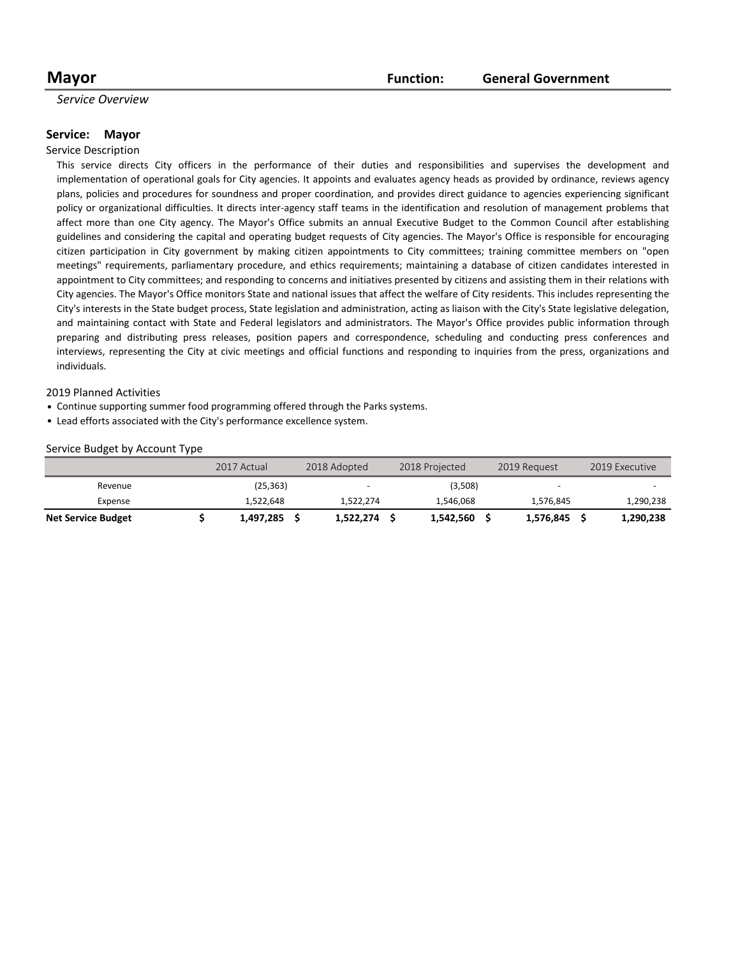#### **Mayor Mayor Function: General Government**

### *Service Overview*

#### **Service: Mayor**

#### Service Description

This service directs City officers in the performance of their duties and responsibilities and supervises the development and implementation of operational goals for City agencies. It appoints and evaluates agency heads as provided by ordinance, reviews agency plans, policies and procedures for soundness and proper coordination, and provides direct guidance to agencies experiencing significant policy or organizational difficulties. It directs inter-agency staff teams in the identification and resolution of management problems that affect more than one City agency. The Mayor's Office submits an annual Executive Budget to the Common Council after establishing guidelines and considering the capital and operating budget requests of City agencies. The Mayor's Office is responsible for encouraging citizen participation in City government by making citizen appointments to City committees; training committee members on "open meetings" requirements, parliamentary procedure, and ethics requirements; maintaining a database of citizen candidates interested in appointment to City committees; and responding to concerns and initiatives presented by citizens and assisting them in their relations with City agencies. The Mayor's Office monitors State and national issues that affect the welfare of City residents. This includes representing the City's interests in the State budget process, State legislation and administration, acting as liaison with the City's State legislative delegation, and maintaining contact with State and Federal legislators and administrators. The Mayor's Office provides public information through preparing and distributing press releases, position papers and correspondence, scheduling and conducting press conferences and interviews, representing the City at civic meetings and official functions and responding to inquiries from the press, organizations and individuals.

#### 2019 Planned Activities

- Continue supporting summer food programming offered through the Parks systems.
- Lead efforts associated with the City's performance excellence system.

#### Service Budget by Account Type

|                           | 2017 Actual | 2018 Adopted |           | 2018 Projected | 2019 Request |                          | 2019 Executive |
|---------------------------|-------------|--------------|-----------|----------------|--------------|--------------------------|----------------|
| Revenue                   | (25,363)    |              | - -       | (3,508)        |              | $\overline{\phantom{0}}$ |                |
| Expense                   | 1,522,648   |              | 1,522,274 | 1,546,068      |              | 1,576,845                | 1,290,238      |
| <b>Net Service Budget</b> | 1,497,285   |              | 1,522,274 | 1,542,560      |              | 1,576,845                | 1,290,238      |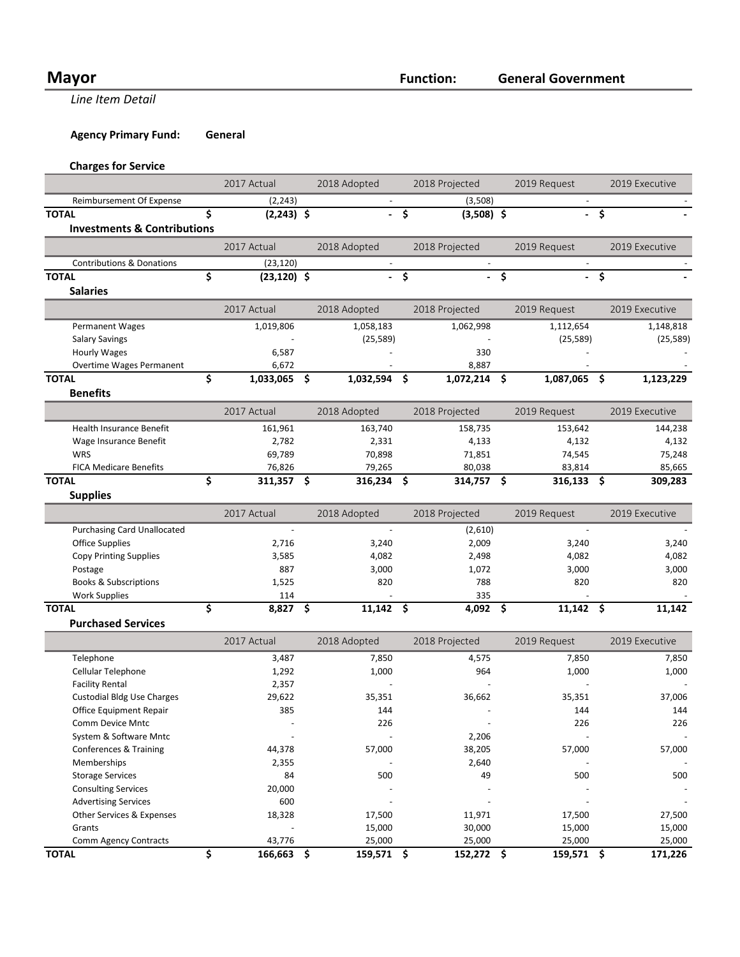# **Mayor Function:**

**Line Item Detail** 

**Agency Primary Fund: General** 

# **Charges for Service**

|                                        | 2017 Actual          | 2018 Adopted |                            | 2018 Projected          |                | 2019 Request |              | 2019 Executive      |                |
|----------------------------------------|----------------------|--------------|----------------------------|-------------------------|----------------|--------------|--------------|---------------------|----------------|
| Reimbursement Of Expense               | (2, 243)             |              |                            |                         | (3,508)        |              |              |                     |                |
| <b>TOTAL</b>                           | \$<br>$(2,243)$ \$   |              |                            | \$                      | $(3,508)$ \$   |              |              | $\ddot{\bm{\zeta}}$ |                |
| <b>Investments &amp; Contributions</b> |                      |              |                            |                         |                |              |              |                     |                |
|                                        | 2017 Actual          |              | 2018 Adopted               |                         | 2018 Projected |              | 2019 Request |                     | 2019 Executive |
| <b>Contributions &amp; Donations</b>   | (23, 120)            |              |                            |                         |                |              |              |                     |                |
| <b>TOTAL</b>                           | \$<br>$(23, 120)$ \$ |              | $\mathbf{L}^{\mathcal{A}}$ | $\overline{\mathsf{s}}$ |                | $-\sqrt{2}$  |              | - \$                |                |
| <b>Salaries</b>                        |                      |              |                            |                         |                |              |              |                     |                |
|                                        | 2017 Actual          |              | 2018 Adopted               |                         | 2018 Projected |              | 2019 Request |                     | 2019 Executive |
| <b>Permanent Wages</b>                 | 1,019,806            |              | 1,058,183                  |                         | 1,062,998      |              | 1,112,654    |                     | 1,148,818      |
| <b>Salary Savings</b>                  |                      |              | (25, 589)                  |                         |                |              | (25, 589)    |                     | (25, 589)      |
| <b>Hourly Wages</b>                    | 6,587                |              |                            |                         | 330            |              |              |                     |                |
| Overtime Wages Permanent               | 6,672                |              |                            |                         | 8,887          |              |              |                     |                |
| <b>TOTAL</b>                           | \$<br>1,033,065 \$   |              | 1,032,594                  | \$.                     | 1,072,214      | \$           | 1,087,065    | -\$                 | 1,123,229      |
| <b>Benefits</b>                        |                      |              |                            |                         |                |              |              |                     |                |
|                                        | 2017 Actual          |              | 2018 Adopted               |                         | 2018 Projected |              | 2019 Request |                     | 2019 Executive |
| <b>Health Insurance Benefit</b>        | 161,961              |              | 163,740                    |                         | 158,735        |              | 153,642      |                     | 144,238        |
| Wage Insurance Benefit                 | 2,782                |              | 2,331                      |                         | 4,133          |              | 4,132        |                     | 4,132          |
| WRS                                    | 69,789               |              | 70,898                     |                         | 71,851         |              | 74,545       |                     | 75,248         |
| <b>FICA Medicare Benefits</b>          | 76,826               |              | 79,265                     |                         | 80,038         |              | 83,814       |                     | 85,665         |
| <b>TOTAL</b>                           | \$<br>311,357 \$     |              | 316,234 \$                 |                         | 314,757 \$     |              | $316,133$ \$ |                     | 309,283        |
| <b>Supplies</b>                        |                      |              |                            |                         |                |              |              |                     |                |
|                                        |                      |              |                            |                         |                |              |              |                     |                |
|                                        | 2017 Actual          |              | 2018 Adopted               |                         | 2018 Projected |              | 2019 Request |                     | 2019 Executive |
| <b>Purchasing Card Unallocated</b>     |                      |              |                            |                         | (2,610)        |              | $\sim$       |                     |                |
| <b>Office Supplies</b>                 | 2,716                |              | 3,240                      |                         | 2,009          |              | 3,240        |                     | 3,240          |
| <b>Copy Printing Supplies</b>          | 3,585                |              | 4,082                      |                         | 2,498          |              | 4,082        |                     | 4,082          |
| Postage                                | 887                  |              | 3,000                      |                         | 1,072          |              | 3,000        |                     | 3,000          |
| <b>Books &amp; Subscriptions</b>       | 1,525                |              | 820                        |                         | 788            |              | 820          |                     | 820            |
| <b>Work Supplies</b>                   | 114                  |              |                            |                         | 335            |              |              |                     |                |
| <b>TOTAL</b>                           | \$<br>$8,827$ \$     |              | $11,142$ \$                |                         | 4,092          | \$.          | $11,142$ \$  |                     | 11,142         |
| <b>Purchased Services</b>              |                      |              |                            |                         |                |              |              |                     |                |
|                                        | 2017 Actual          |              | 2018 Adopted               |                         | 2018 Projected |              | 2019 Request |                     | 2019 Executive |
| Telephone                              | 3,487                |              | 7,850                      |                         | 4,575          |              | 7,850        |                     | 7,850          |
| Cellular Telephone                     | 1,292                |              | 1,000                      |                         | 964            |              | 1,000        |                     | 1,000          |
| <b>Facility Rental</b>                 | 2,357                |              |                            |                         |                |              |              |                     |                |
| <b>Custodial Bldg Use Charges</b>      | 29,622               |              | 35,351                     |                         | 36,662         |              | 35,351       |                     | 37,006         |
| Office Equipment Repair                | 385                  |              | 144                        |                         |                |              | 144          |                     | 144            |
| Comm Device Mntc                       |                      |              | 226                        |                         |                |              | 226          |                     | 226            |
| System & Software Mntc                 |                      |              |                            |                         | 2,206          |              |              |                     |                |
| Conferences & Training                 | 44,378               |              | 57,000                     |                         | 38,205         |              | 57,000       |                     | 57,000         |
| Memberships                            | 2,355                |              |                            |                         | 2,640          |              |              |                     |                |
| <b>Storage Services</b>                | 84                   |              | 500                        |                         | 49             |              | 500          |                     | 500            |
| <b>Consulting Services</b>             | 20,000               |              |                            |                         |                |              |              |                     |                |
| <b>Advertising Services</b>            | 600                  |              |                            |                         |                |              |              |                     |                |
| Other Services & Expenses              | 18,328               |              | 17,500                     |                         | 11,971         |              | 17,500       |                     | 27,500         |
| Grants                                 |                      |              | 15,000                     |                         | 30,000         |              | 15,000       |                     | 15,000         |
| Comm Agency Contracts                  | 43,776               |              | 25,000                     |                         | 25,000         |              | 25,000       |                     | 25,000         |
| <b>TOTAL</b>                           | \$<br>166,663 \$     |              | 159,571 \$                 |                         | 152,272 \$     |              | 159,571 \$   |                     | 171,226        |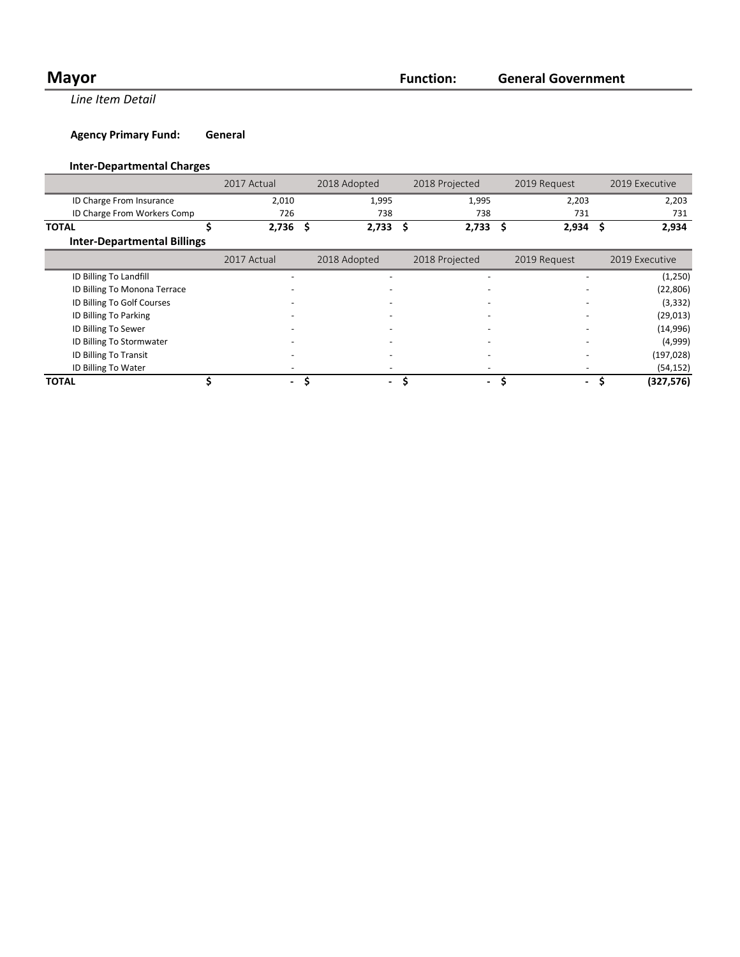# **Mayor Function:**

**Line Item Detail** 

**Agency Primary Fund: General** 

# **Inter-Departmental Charges**

|                                    | 2017 Actual |     | 2018 Adopted             | 2018 Projected |                          | 2019 Request                   |     | 2019 Executive |
|------------------------------------|-------------|-----|--------------------------|----------------|--------------------------|--------------------------------|-----|----------------|
| ID Charge From Insurance           | 2,010       |     | 1,995                    |                | 1,995                    | 2,203                          |     | 2,203          |
| ID Charge From Workers Comp        | 726         |     | 738                      |                | 738                      | 731                            |     | 731            |
| <b>TOTAL</b>                       | 2,736       | \$. | $2,733$ \$               |                | $2,733$ \$               | 2,934                          | \$. | 2,934          |
| <b>Inter-Departmental Billings</b> |             |     |                          |                |                          |                                |     |                |
|                                    | 2017 Actual |     | 2018 Adopted             |                | 2018 Projected           | 2019 Request                   |     | 2019 Executive |
| ID Billing To Landfill             |             |     |                          |                |                          |                                |     | (1,250)        |
| ID Billing To Monona Terrace       |             |     |                          |                |                          |                                |     | (22, 806)      |
| ID Billing To Golf Courses         |             |     |                          |                | $\overline{\phantom{0}}$ |                                |     | (3, 332)       |
| ID Billing To Parking              |             |     |                          |                |                          |                                |     | (29, 013)      |
| ID Billing To Sewer                |             |     |                          |                |                          |                                |     | (14,996)       |
| ID Billing To Stormwater           |             |     |                          |                |                          |                                |     | (4,999)        |
| ID Billing To Transit              |             |     |                          |                |                          |                                |     | (197, 028)     |
| ID Billing To Water                |             |     |                          |                |                          |                                |     | (54, 152)      |
| <b>TOTAL</b>                       | $\sim$      | Ś   | $\overline{\phantom{0}}$ |                | $\blacksquare$           | \$<br>$\overline{\phantom{a}}$ | S   | (327, 576)     |